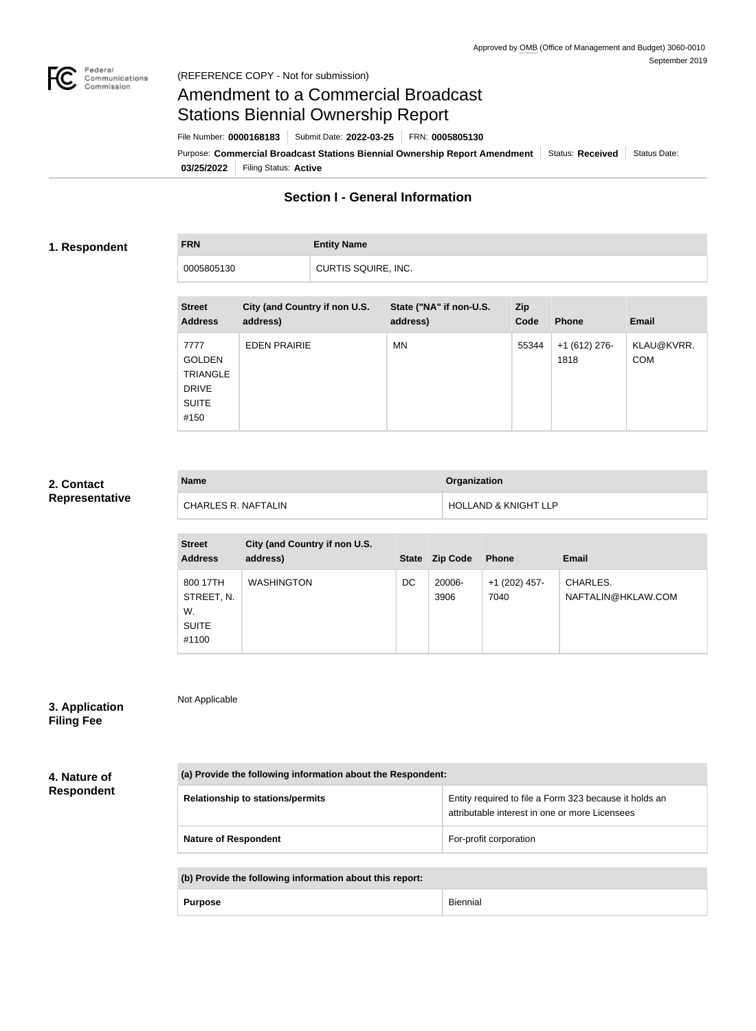

# Amendment to a Commercial Broadcast Stations Biennial Ownership Report

Purpose: **Commercial Broadcast Stations Biennial Ownership Report Amendment** Status: Received Status Date: File Number: **0000168183** Submit Date: **2022-03-25** FRN: **0005805130**

**03/25/2022** Filing Status: **Active**

# **Section I - General Information**

### **1. Respondent**

**FRN Entity Name**

0005805130 CURTIS SQUIRE, INC.

| <b>Street</b><br><b>Address</b>                                                  | City (and Country if non U.S.<br>address) | State ("NA" if non-U.S.<br>address) | Zip<br>Code | <b>Phone</b>           | <b>Email</b>             |
|----------------------------------------------------------------------------------|-------------------------------------------|-------------------------------------|-------------|------------------------|--------------------------|
| 7777<br><b>GOLDEN</b><br><b>TRIANGLE</b><br><b>DRIVE</b><br><b>SUITE</b><br>#150 | <b>EDEN PRAIRIE</b>                       | <b>MN</b>                           | 55344       | $+1(612)$ 276-<br>1818 | KLAU@KVRR.<br><b>COM</b> |

#### **2. Contact Representative**

| <b>Name</b>                | <b>Organization</b>             |
|----------------------------|---------------------------------|
| <b>CHARLES R. NAFTALIN</b> | <b>HOLLAND &amp; KNIGHT LLP</b> |

| <b>Street</b><br><b>Address</b>                       | City (and Country if non U.S.<br>address) | <b>State</b> | <b>Zip Code</b> | <b>Phone</b>            | <b>Email</b>                   |
|-------------------------------------------------------|-------------------------------------------|--------------|-----------------|-------------------------|--------------------------------|
| 800 17TH<br>STREET, N.<br>W.<br><b>SUITE</b><br>#1100 | <b>WASHINGTON</b>                         | DC           | 20006-<br>3906  | $+1$ (202) 457-<br>7040 | CHARLES.<br>NAFTALIN@HKLAW.COM |

# **3. Application**

Not Applicable

**Filing Fee**

**4. Nature of** 

**Respondent**

| (a) Provide the following information about the Respondent: |                                                                                                          |  |
|-------------------------------------------------------------|----------------------------------------------------------------------------------------------------------|--|
| <b>Relationship to stations/permits</b>                     | Entity required to file a Form 323 because it holds an<br>attributable interest in one or more Licensees |  |
| <b>Nature of Respondent</b>                                 | For-profit corporation                                                                                   |  |

| (b) Provide the following information about this report: |                |          |
|----------------------------------------------------------|----------------|----------|
|                                                          | <b>Purpose</b> | Biennial |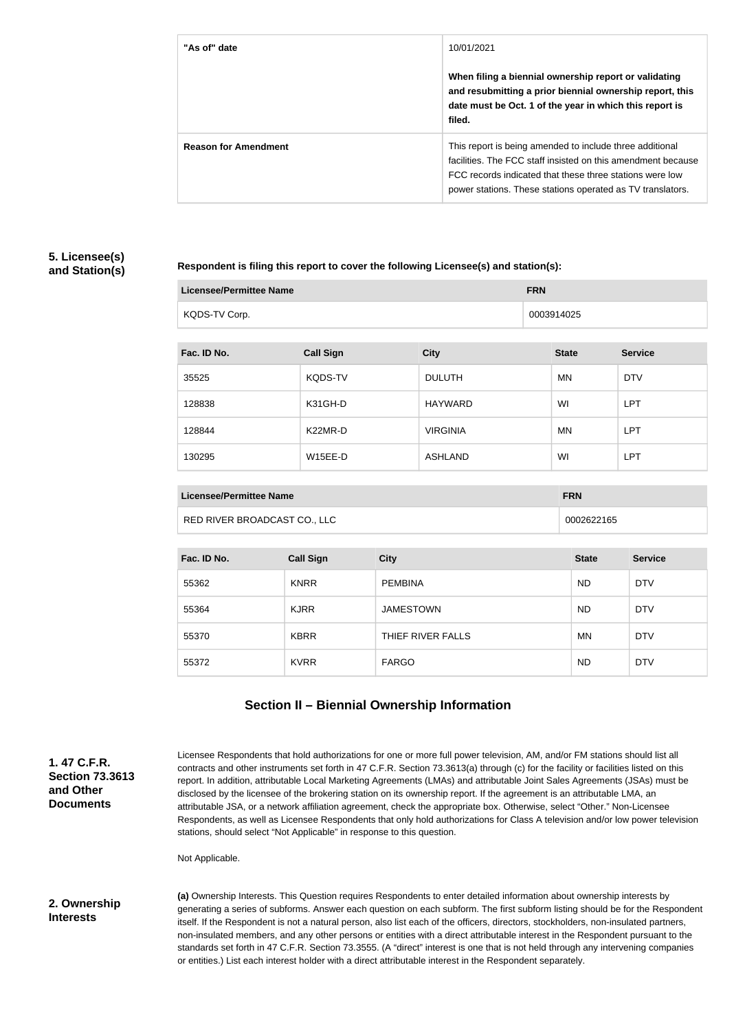| "As of" date                | 10/01/2021<br>When filing a biennial ownership report or validating<br>and resubmitting a prior biennial ownership report, this<br>date must be Oct. 1 of the year in which this report is<br>filed.                                               |
|-----------------------------|----------------------------------------------------------------------------------------------------------------------------------------------------------------------------------------------------------------------------------------------------|
| <b>Reason for Amendment</b> | This report is being amended to include three additional<br>facilities. The FCC staff insisted on this amendment because<br>FCC records indicated that these three stations were low<br>power stations. These stations operated as TV translators. |

#### **5. Licensee(s) and Station(s)**

**Respondent is filing this report to cover the following Licensee(s) and station(s):**

| Licensee/Permittee Name | <b>FRN</b> |
|-------------------------|------------|
| KQDS-TV Corp.           | 0003914025 |

| Fac. ID No. | <b>Call Sign</b> | <b>City</b>     | <b>State</b> | <b>Service</b> |
|-------------|------------------|-----------------|--------------|----------------|
| 35525       | <b>KQDS-TV</b>   | <b>DULUTH</b>   | <b>MN</b>    | <b>DTV</b>     |
| 128838      | K31GH-D          | HAYWARD         | WI           | <b>LPT</b>     |
| 128844      | K22MR-D          | <b>VIRGINIA</b> | <b>MN</b>    | <b>LPT</b>     |
| 130295      | W15EE-D          | ASHLAND         | WI           | <b>LPT</b>     |

| Licensee/Permittee Name      | <b>FRN</b> |
|------------------------------|------------|
| RED RIVER BROADCAST CO., LLC | 0002622165 |

| Fac. ID No. | <b>Call Sign</b> | <b>City</b>       | <b>State</b> | <b>Service</b> |
|-------------|------------------|-------------------|--------------|----------------|
| 55362       | <b>KNRR</b>      | <b>PEMBINA</b>    | <b>ND</b>    | <b>DTV</b>     |
| 55364       | <b>KJRR</b>      | <b>JAMESTOWN</b>  | <b>ND</b>    | <b>DTV</b>     |
| 55370       | <b>KBRR</b>      | THIEF RIVER FALLS | <b>MN</b>    | <b>DTV</b>     |
| 55372       | <b>KVRR</b>      | <b>FARGO</b>      | <b>ND</b>    | <b>DTV</b>     |

## **Section II – Biennial Ownership Information**

**1. 47 C.F.R. Section 73.3613 and Other Documents**

Licensee Respondents that hold authorizations for one or more full power television, AM, and/or FM stations should list all contracts and other instruments set forth in 47 C.F.R. Section 73.3613(a) through (c) for the facility or facilities listed on this report. In addition, attributable Local Marketing Agreements (LMAs) and attributable Joint Sales Agreements (JSAs) must be disclosed by the licensee of the brokering station on its ownership report. If the agreement is an attributable LMA, an attributable JSA, or a network affiliation agreement, check the appropriate box. Otherwise, select "Other." Non-Licensee Respondents, as well as Licensee Respondents that only hold authorizations for Class A television and/or low power television stations, should select "Not Applicable" in response to this question.

Not Applicable.

#### **2. Ownership Interests**

**(a)** Ownership Interests. This Question requires Respondents to enter detailed information about ownership interests by generating a series of subforms. Answer each question on each subform. The first subform listing should be for the Respondent itself. If the Respondent is not a natural person, also list each of the officers, directors, stockholders, non-insulated partners, non-insulated members, and any other persons or entities with a direct attributable interest in the Respondent pursuant to the standards set forth in 47 C.F.R. Section 73.3555. (A "direct" interest is one that is not held through any intervening companies or entities.) List each interest holder with a direct attributable interest in the Respondent separately.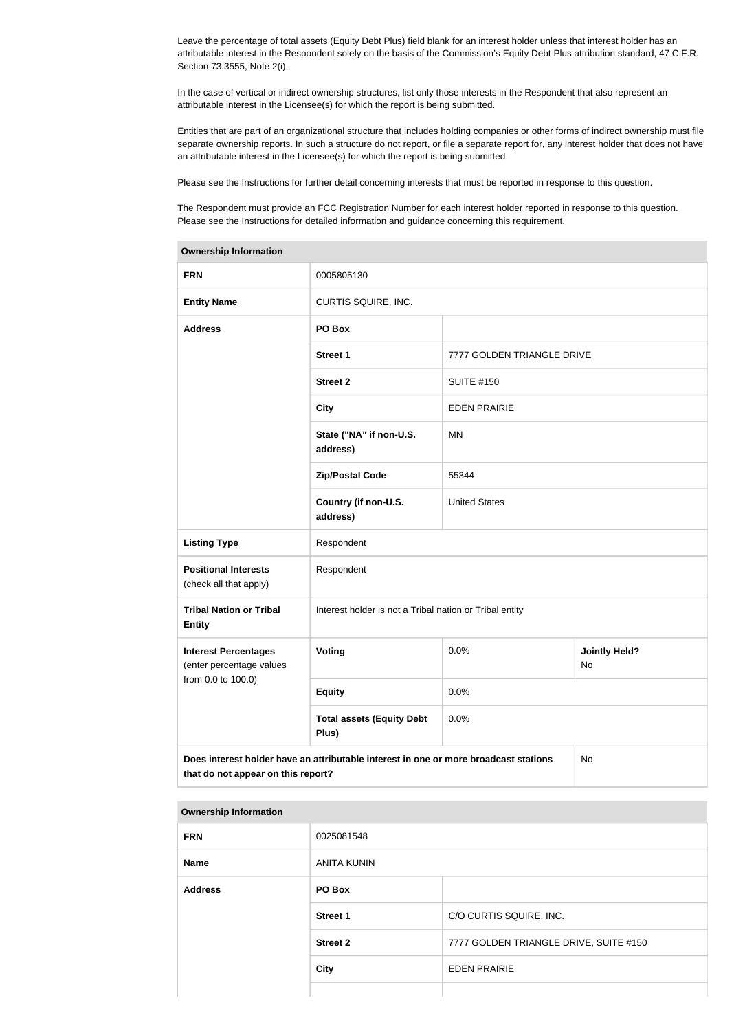Leave the percentage of total assets (Equity Debt Plus) field blank for an interest holder unless that interest holder has an attributable interest in the Respondent solely on the basis of the Commission's Equity Debt Plus attribution standard, 47 C.F.R. Section 73.3555, Note 2(i).

In the case of vertical or indirect ownership structures, list only those interests in the Respondent that also represent an attributable interest in the Licensee(s) for which the report is being submitted.

Entities that are part of an organizational structure that includes holding companies or other forms of indirect ownership must file separate ownership reports. In such a structure do not report, or file a separate report for, any interest holder that does not have an attributable interest in the Licensee(s) for which the report is being submitted.

Please see the Instructions for further detail concerning interests that must be reported in response to this question.

The Respondent must provide an FCC Registration Number for each interest holder reported in response to this question. Please see the Instructions for detailed information and guidance concerning this requirement.

| <b>Ownership Information</b>                                                                                                     |                                                         |                            |                            |  |
|----------------------------------------------------------------------------------------------------------------------------------|---------------------------------------------------------|----------------------------|----------------------------|--|
| <b>FRN</b>                                                                                                                       | 0005805130                                              |                            |                            |  |
| <b>Entity Name</b>                                                                                                               | CURTIS SQUIRE, INC.                                     |                            |                            |  |
| <b>Address</b>                                                                                                                   | PO Box                                                  |                            |                            |  |
|                                                                                                                                  | <b>Street 1</b>                                         | 7777 GOLDEN TRIANGLE DRIVE |                            |  |
|                                                                                                                                  | <b>Street 2</b>                                         | <b>SUITE #150</b>          |                            |  |
|                                                                                                                                  | <b>City</b>                                             | <b>EDEN PRAIRIE</b>        |                            |  |
|                                                                                                                                  | State ("NA" if non-U.S.<br>address)                     | MN                         |                            |  |
|                                                                                                                                  | <b>Zip/Postal Code</b>                                  | 55344                      |                            |  |
|                                                                                                                                  | Country (if non-U.S.<br>address)                        | <b>United States</b>       |                            |  |
| <b>Listing Type</b>                                                                                                              | Respondent                                              |                            |                            |  |
| <b>Positional Interests</b><br>(check all that apply)                                                                            | Respondent                                              |                            |                            |  |
| <b>Tribal Nation or Tribal</b><br><b>Entity</b>                                                                                  | Interest holder is not a Tribal nation or Tribal entity |                            |                            |  |
| <b>Interest Percentages</b><br>(enter percentage values                                                                          | Voting                                                  | 0.0%                       | <b>Jointly Held?</b><br>No |  |
| from 0.0 to 100.0)                                                                                                               | <b>Equity</b>                                           | 0.0%                       |                            |  |
|                                                                                                                                  | <b>Total assets (Equity Debt</b><br>Plus)               | 0.0%                       |                            |  |
| Does interest holder have an attributable interest in one or more broadcast stations<br>No<br>that do not appear on this report? |                                                         |                            |                            |  |

#### **Ownership Information**

| <b>FRN</b>     | 0025081548         |                                        |  |
|----------------|--------------------|----------------------------------------|--|
| Name           | <b>ANITA KUNIN</b> |                                        |  |
| <b>Address</b> | PO Box             |                                        |  |
|                | <b>Street 1</b>    | C/O CURTIS SQUIRE, INC.                |  |
|                | <b>Street 2</b>    | 7777 GOLDEN TRIANGLE DRIVE, SUITE #150 |  |
|                | <b>City</b>        | <b>EDEN PRAIRIE</b>                    |  |
|                |                    |                                        |  |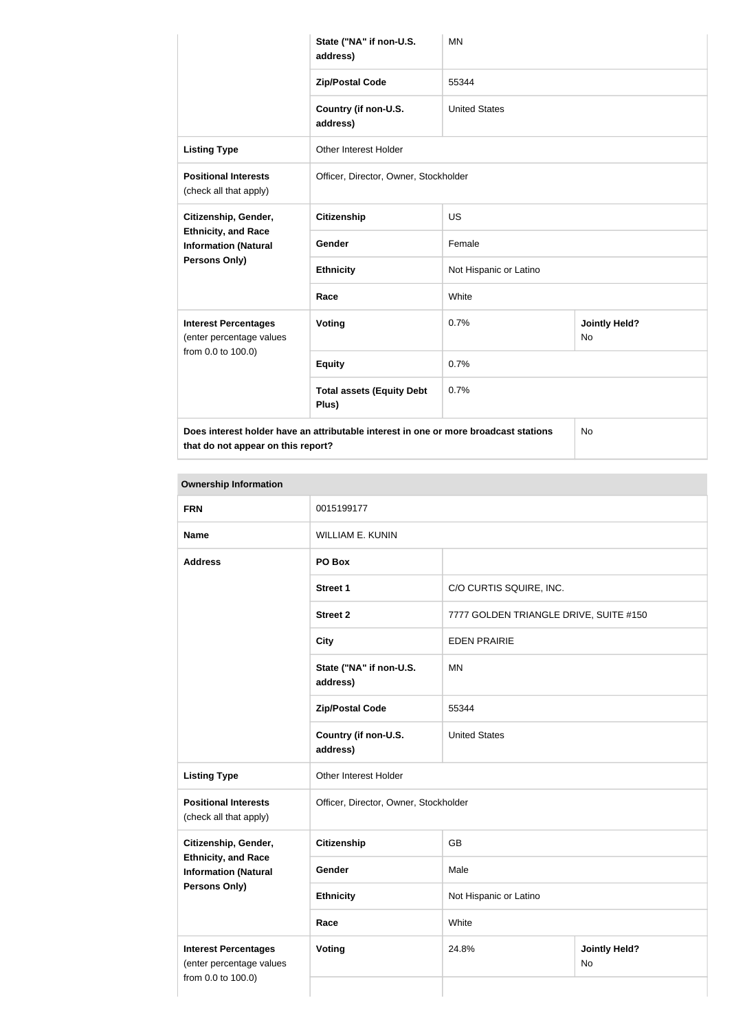|                                                                                                   | State ("NA" if non-U.S.<br>address)       | <b>MN</b>              |                                   |
|---------------------------------------------------------------------------------------------------|-------------------------------------------|------------------------|-----------------------------------|
|                                                                                                   | <b>Zip/Postal Code</b>                    | 55344                  |                                   |
|                                                                                                   | Country (if non-U.S.<br>address)          | <b>United States</b>   |                                   |
| <b>Listing Type</b>                                                                               | <b>Other Interest Holder</b>              |                        |                                   |
| <b>Positional Interests</b><br>(check all that apply)                                             | Officer, Director, Owner, Stockholder     |                        |                                   |
| Citizenship, Gender,<br><b>Ethnicity, and Race</b><br><b>Information (Natural</b>                 | <b>Citizenship</b>                        | <b>US</b>              |                                   |
|                                                                                                   | Gender                                    | Female                 |                                   |
| <b>Persons Only)</b>                                                                              | <b>Ethnicity</b>                          | Not Hispanic or Latino |                                   |
|                                                                                                   | Race                                      | White                  |                                   |
| <b>Interest Percentages</b><br>(enter percentage values<br>from 0.0 to 100.0)                     | Voting                                    | 0.7%                   | <b>Jointly Held?</b><br><b>No</b> |
|                                                                                                   | <b>Equity</b>                             | 0.7%                   |                                   |
|                                                                                                   | <b>Total assets (Equity Debt</b><br>Plus) | 0.7%                   |                                   |
| Does interest holder have an attributable interest in one or more broadcast stations<br><b>No</b> |                                           |                        |                                   |

**that do not appear on this report?**

**Ownership Information FRN** 0015199177 **Name** WILLIAM E. KUNIN **Address PO Box Street 1** C/O CURTIS SQUIRE, INC. **Street 2** 7777 GOLDEN TRIANGLE DRIVE, SUITE #150 **City** EDEN PRAIRIE **State ("NA" if non-U.S. address)** MN **Zip/Postal Code** 55344 **Country (if non-U.S. address)** United States **Listing Type Circuit** Other Interest Holder **Positional Interests** (check all that apply) Officer, Director, Owner, Stockholder **Citizenship, Gender, Ethnicity, and Race Information (Natural Persons Only) Citizenship** GB Gender Male **Ethnicity** Not Hispanic or Latino **Race** White **Interest Percentages** (enter percentage values from 0.0 to 100.0) **Voting** 24.8% **Jointly Held?** No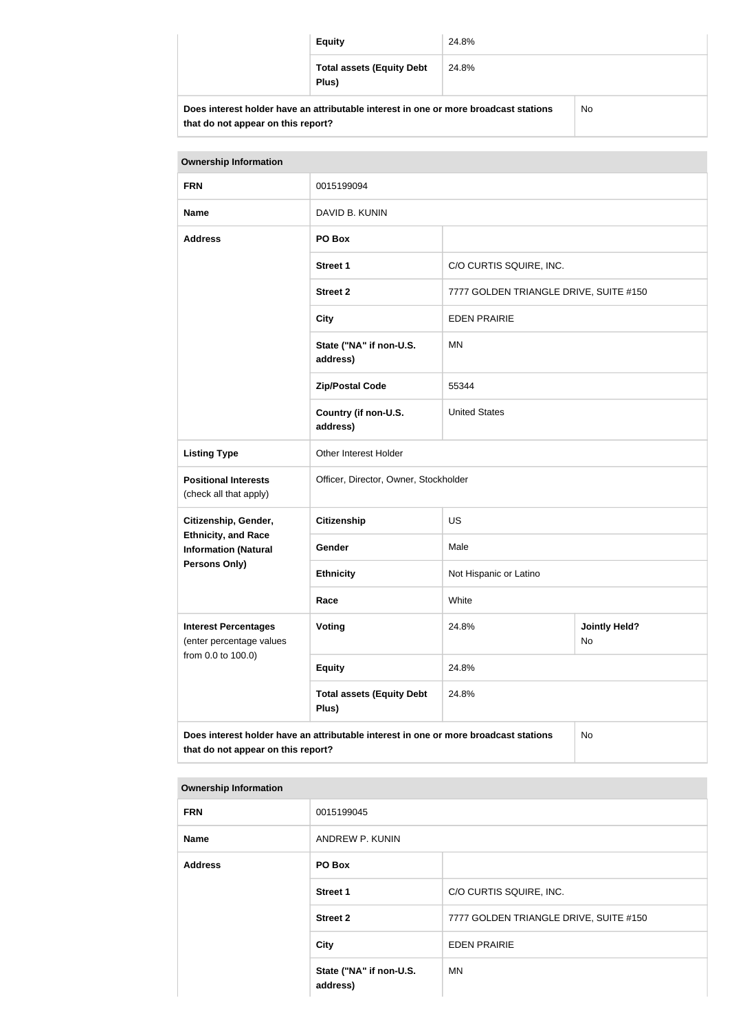|                                                                                      | <b>Equity</b>                             | 24.8% |           |
|--------------------------------------------------------------------------------------|-------------------------------------------|-------|-----------|
|                                                                                      | <b>Total assets (Equity Debt</b><br>Plus) | 24.8% |           |
| Does interest holder have an attributable interest in one or more broadcast stations |                                           |       | <b>No</b> |

| <b>Ownership Information</b>                                                                                                     |                                           |                                        |                            |  |
|----------------------------------------------------------------------------------------------------------------------------------|-------------------------------------------|----------------------------------------|----------------------------|--|
| <b>FRN</b>                                                                                                                       | 0015199094                                |                                        |                            |  |
| <b>Name</b>                                                                                                                      | DAVID B. KUNIN                            |                                        |                            |  |
| <b>Address</b>                                                                                                                   | PO Box                                    |                                        |                            |  |
|                                                                                                                                  | <b>Street 1</b>                           | C/O CURTIS SQUIRE, INC.                |                            |  |
|                                                                                                                                  | <b>Street 2</b>                           | 7777 GOLDEN TRIANGLE DRIVE, SUITE #150 |                            |  |
|                                                                                                                                  | <b>City</b>                               | <b>EDEN PRAIRIE</b>                    |                            |  |
|                                                                                                                                  | State ("NA" if non-U.S.<br>address)       | MN                                     |                            |  |
|                                                                                                                                  | <b>Zip/Postal Code</b>                    | 55344                                  |                            |  |
|                                                                                                                                  | Country (if non-U.S.<br>address)          | <b>United States</b>                   |                            |  |
| <b>Listing Type</b>                                                                                                              | Other Interest Holder                     |                                        |                            |  |
| <b>Positional Interests</b><br>(check all that apply)                                                                            | Officer, Director, Owner, Stockholder     |                                        |                            |  |
| Citizenship, Gender,                                                                                                             | <b>Citizenship</b>                        | <b>US</b>                              |                            |  |
| <b>Ethnicity, and Race</b><br><b>Information (Natural</b>                                                                        | Gender                                    | Male                                   |                            |  |
| <b>Persons Only)</b>                                                                                                             | <b>Ethnicity</b>                          | Not Hispanic or Latino                 |                            |  |
|                                                                                                                                  | Race                                      | White                                  |                            |  |
| <b>Interest Percentages</b><br>(enter percentage values                                                                          | Voting                                    | 24.8%                                  | <b>Jointly Held?</b><br>No |  |
| from 0.0 to 100.0)                                                                                                               | <b>Equity</b>                             | 24.8%                                  |                            |  |
|                                                                                                                                  | <b>Total assets (Equity Debt</b><br>Plus) | 24.8%                                  |                            |  |
| Does interest holder have an attributable interest in one or more broadcast stations<br>No<br>that do not appear on this report? |                                           |                                        |                            |  |

| <b>Ownership Information</b> |
|------------------------------|
|                              |

**that do not appear on this report?**

| ווטווופו וטווון עווופוסודאט |                                     |                                        |  |
|-----------------------------|-------------------------------------|----------------------------------------|--|
| <b>FRN</b>                  | 0015199045                          |                                        |  |
| <b>Name</b>                 | ANDREW P. KUNIN                     |                                        |  |
| <b>Address</b>              | PO Box                              |                                        |  |
|                             | <b>Street 1</b>                     | C/O CURTIS SQUIRE, INC.                |  |
|                             | <b>Street 2</b>                     | 7777 GOLDEN TRIANGLE DRIVE, SUITE #150 |  |
|                             | <b>City</b>                         | <b>EDEN PRAIRIE</b>                    |  |
|                             | State ("NA" if non-U.S.<br>address) | <b>MN</b>                              |  |
|                             |                                     |                                        |  |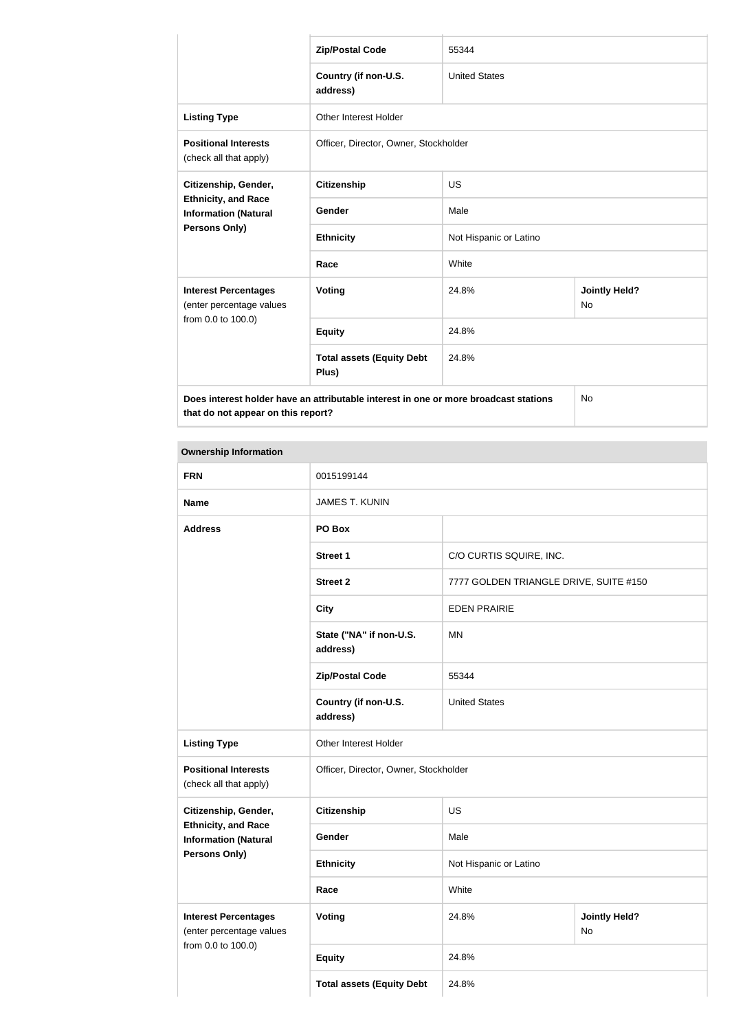|                                                                                                                            | <b>Zip/Postal Code</b>                    | 55344                  |                                   |  |
|----------------------------------------------------------------------------------------------------------------------------|-------------------------------------------|------------------------|-----------------------------------|--|
|                                                                                                                            | Country (if non-U.S.<br>address)          | <b>United States</b>   |                                   |  |
| <b>Listing Type</b>                                                                                                        | <b>Other Interest Holder</b>              |                        |                                   |  |
| <b>Positional Interests</b><br>(check all that apply)                                                                      | Officer, Director, Owner, Stockholder     |                        |                                   |  |
| Citizenship, Gender,<br><b>Ethnicity, and Race</b><br><b>Information (Natural</b>                                          | <b>Citizenship</b>                        | <b>US</b>              |                                   |  |
|                                                                                                                            | Gender                                    | Male                   |                                   |  |
| Persons Only)                                                                                                              | <b>Ethnicity</b>                          | Not Hispanic or Latino |                                   |  |
|                                                                                                                            | Race                                      | White                  |                                   |  |
| <b>Interest Percentages</b><br>(enter percentage values                                                                    | <b>Voting</b>                             | 24.8%                  | <b>Jointly Held?</b><br><b>No</b> |  |
| from 0.0 to 100.0)                                                                                                         | <b>Equity</b>                             | 24.8%                  |                                   |  |
|                                                                                                                            | <b>Total assets (Equity Debt</b><br>Plus) | 24.8%                  |                                   |  |
| Does interest holder have an attributable interest in one or more broadcast stations<br>that do not appear on this report? |                                           |                        | No                                |  |

#### **Ownership Information**

| <b>FRN</b>                                                | 0015199144                                                     |                                        |                            |  |
|-----------------------------------------------------------|----------------------------------------------------------------|----------------------------------------|----------------------------|--|
| <b>Name</b>                                               | <b>JAMES T. KUNIN</b>                                          |                                        |                            |  |
| <b>Address</b>                                            | PO Box                                                         |                                        |                            |  |
|                                                           | <b>Street 1</b>                                                | C/O CURTIS SQUIRE, INC.                |                            |  |
|                                                           | <b>Street 2</b>                                                | 7777 GOLDEN TRIANGLE DRIVE, SUITE #150 |                            |  |
|                                                           | <b>City</b>                                                    | <b>EDEN PRAIRIE</b>                    |                            |  |
|                                                           | State ("NA" if non-U.S.<br>address)                            | <b>MN</b>                              |                            |  |
|                                                           | <b>Zip/Postal Code</b>                                         | 55344                                  |                            |  |
|                                                           | Country (if non-U.S.<br>address)                               | <b>United States</b>                   |                            |  |
| <b>Listing Type</b>                                       | Other Interest Holder<br>Officer, Director, Owner, Stockholder |                                        |                            |  |
| <b>Positional Interests</b><br>(check all that apply)     |                                                                |                                        |                            |  |
| Citizenship, Gender,                                      | <b>Citizenship</b>                                             | <b>US</b>                              |                            |  |
| <b>Ethnicity, and Race</b><br><b>Information (Natural</b> | Gender                                                         | Male                                   |                            |  |
| Persons Only)                                             | <b>Ethnicity</b>                                               | Not Hispanic or Latino                 |                            |  |
|                                                           | Race                                                           | White                                  |                            |  |
| <b>Interest Percentages</b><br>(enter percentage values   | <b>Voting</b>                                                  | 24.8%                                  | <b>Jointly Held?</b><br>No |  |
| from 0.0 to 100.0)                                        | <b>Equity</b>                                                  | 24.8%                                  |                            |  |
|                                                           | <b>Total assets (Equity Debt</b>                               | 24.8%                                  |                            |  |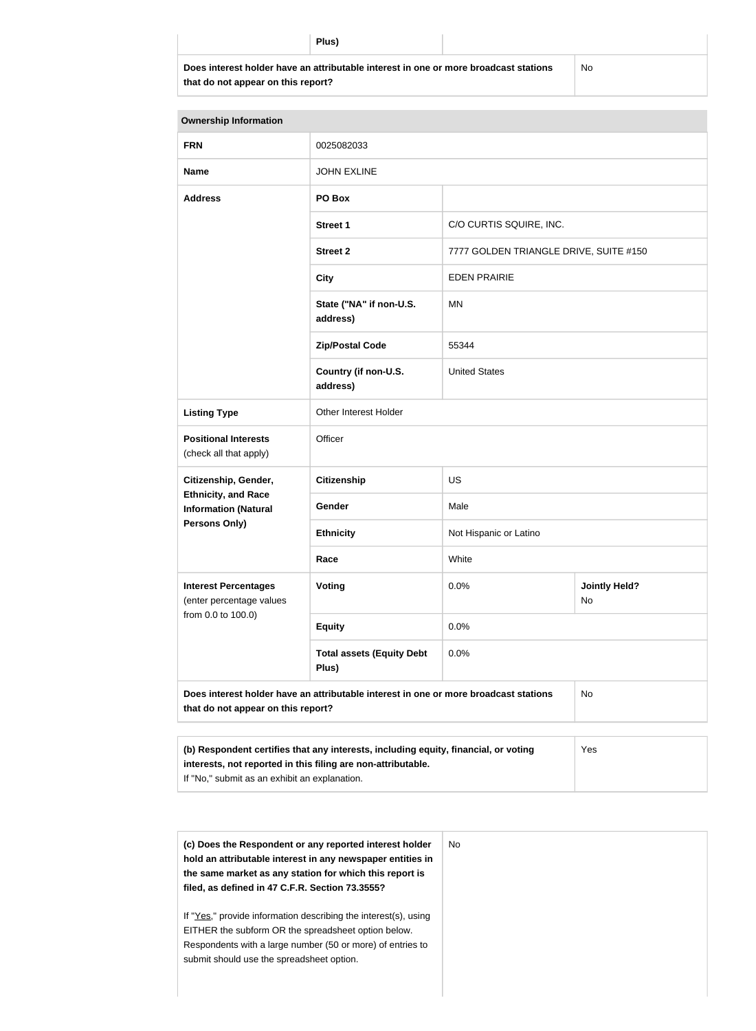| 11<br>I<br>. .<br>×<br>× |
|--------------------------|
|--------------------------|

**Does interest holder have an attributable interest in one or more broadcast stations that do not appear on this report?**

No

| <b>Ownership Information</b>                                                                                                                               |                                     |                                        |                            |  |
|------------------------------------------------------------------------------------------------------------------------------------------------------------|-------------------------------------|----------------------------------------|----------------------------|--|
| <b>FRN</b>                                                                                                                                                 | 0025082033                          |                                        |                            |  |
| <b>Name</b>                                                                                                                                                | <b>JOHN EXLINE</b>                  |                                        |                            |  |
| <b>Address</b>                                                                                                                                             | PO Box                              |                                        |                            |  |
|                                                                                                                                                            | <b>Street 1</b>                     | C/O CURTIS SQUIRE, INC.                |                            |  |
|                                                                                                                                                            | <b>Street 2</b>                     | 7777 GOLDEN TRIANGLE DRIVE, SUITE #150 |                            |  |
|                                                                                                                                                            | <b>City</b>                         | <b>EDEN PRAIRIE</b>                    |                            |  |
|                                                                                                                                                            | State ("NA" if non-U.S.<br>address) | MN                                     |                            |  |
|                                                                                                                                                            | <b>Zip/Postal Code</b>              | 55344                                  |                            |  |
|                                                                                                                                                            | Country (if non-U.S.<br>address)    | <b>United States</b>                   |                            |  |
| <b>Listing Type</b>                                                                                                                                        | Other Interest Holder               |                                        |                            |  |
| <b>Positional Interests</b><br>(check all that apply)                                                                                                      | Officer                             |                                        |                            |  |
| Citizenship, Gender,                                                                                                                                       | <b>Citizenship</b>                  | <b>US</b>                              |                            |  |
| <b>Ethnicity, and Race</b><br><b>Information (Natural</b>                                                                                                  | Gender                              | Male                                   |                            |  |
| <b>Persons Only)</b>                                                                                                                                       | <b>Ethnicity</b>                    | Not Hispanic or Latino                 |                            |  |
|                                                                                                                                                            | Race                                | White                                  |                            |  |
| <b>Interest Percentages</b><br>(enter percentage values                                                                                                    | Voting                              | 0.0%                                   | <b>Jointly Held?</b><br>No |  |
| from 0.0 to 100.0)                                                                                                                                         | <b>Equity</b>                       | 0.0%                                   |                            |  |
| <b>Total assets (Equity Debt</b><br>0.0%<br>Plus)                                                                                                          |                                     |                                        |                            |  |
| Does interest holder have an attributable interest in one or more broadcast stations<br>No<br>that do not appear on this report?                           |                                     |                                        |                            |  |
|                                                                                                                                                            |                                     |                                        |                            |  |
| (b) Respondent certifies that any interests, including equity, financial, or voting<br>Yes<br>interests, not reported in this filing are non-attributable. |                                     |                                        |                            |  |

If "No," submit as an exhibit an explanation.

| (c) Does the Respondent or any reported interest holder<br>hold an attributable interest in any newspaper entities in<br>the same market as any station for which this report is<br>filed, as defined in 47 C.F.R. Section 73.3555? | No. |
|-------------------------------------------------------------------------------------------------------------------------------------------------------------------------------------------------------------------------------------|-----|
| If "Yes," provide information describing the interest(s), using<br>EITHER the subform OR the spreadsheet option below.<br>Respondents with a large number (50 or more) of entries to<br>submit should use the spreadsheet option.   |     |
|                                                                                                                                                                                                                                     |     |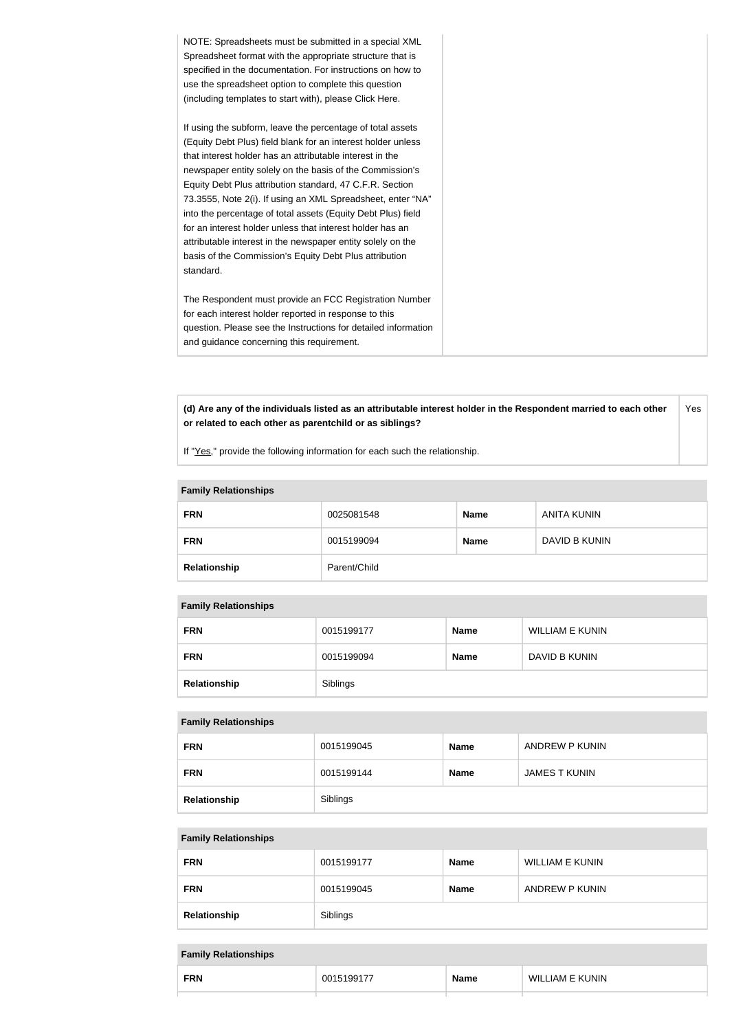| NOTE: Spreadsheets must be submitted in a special XML<br>Spreadsheet format with the appropriate structure that is<br>specified in the documentation. For instructions on how to<br>use the spreadsheet option to complete this question<br>(including templates to start with), please Click Here.                                                                                                                                                                                                                                                                                                                                              |
|--------------------------------------------------------------------------------------------------------------------------------------------------------------------------------------------------------------------------------------------------------------------------------------------------------------------------------------------------------------------------------------------------------------------------------------------------------------------------------------------------------------------------------------------------------------------------------------------------------------------------------------------------|
| If using the subform, leave the percentage of total assets<br>(Equity Debt Plus) field blank for an interest holder unless<br>that interest holder has an attributable interest in the<br>newspaper entity solely on the basis of the Commission's<br>Equity Debt Plus attribution standard, 47 C.F.R. Section<br>73.3555, Note 2(i). If using an XML Spreadsheet, enter "NA"<br>into the percentage of total assets (Equity Debt Plus) field<br>for an interest holder unless that interest holder has an<br>attributable interest in the newspaper entity solely on the<br>basis of the Commission's Equity Debt Plus attribution<br>standard. |
| The Respondent must provide an FCC Registration Number<br>for each interest holder reported in response to this<br>question. Please see the Instructions for detailed information<br>and guidance concerning this requirement.                                                                                                                                                                                                                                                                                                                                                                                                                   |

**(d) Are any of the individuals listed as an attributable interest holder in the Respondent married to each other or related to each other as parentchild or as siblings?** Yes

If "Yes," provide the following information for each such the relationship.

| <b>Fallilly Relativitatips</b> |              |             |                    |  |
|--------------------------------|--------------|-------------|--------------------|--|
| <b>FRN</b>                     | 0025081548   | <b>Name</b> | <b>ANITA KUNIN</b> |  |
| <b>FRN</b>                     | 0015199094   | <b>Name</b> | DAVID B KUNIN      |  |
| Relationship                   | Parent/Child |             |                    |  |

# **Family Relationships**

#### **Family Relationships**

| <b>FRN</b>   | 0015199177 | <b>Name</b> | <b>WILLIAM E KUNIN</b> |
|--------------|------------|-------------|------------------------|
| <b>FRN</b>   | 0015199094 | <b>Name</b> | DAVID B KUNIN          |
| Relationship | Siblings   |             |                        |

#### **Family Relationships**

| <b>FRN</b>   | 0015199045 | <b>Name</b> | ANDREW P KUNIN |
|--------------|------------|-------------|----------------|
| <b>FRN</b>   | 0015199144 | <b>Name</b> | JAMES T KUNIN  |
| Relationship | Siblings   |             |                |

#### **Family Relationships**

| <b>FRN</b>   | 0015199177 | <b>Name</b> | WILLIAM E KUNIN |
|--------------|------------|-------------|-----------------|
| <b>FRN</b>   | 0015199045 | Name        | ANDREW P KUNIN  |
| Relationship | Siblings   |             |                 |

#### **Family Relationships**

| <b>FRN</b> | $\overline{\phantom{a}}$<br>. . | <b>Name</b> | JNIN<br>WIL.<br>_IAM_ |
|------------|---------------------------------|-------------|-----------------------|
|            |                                 |             |                       |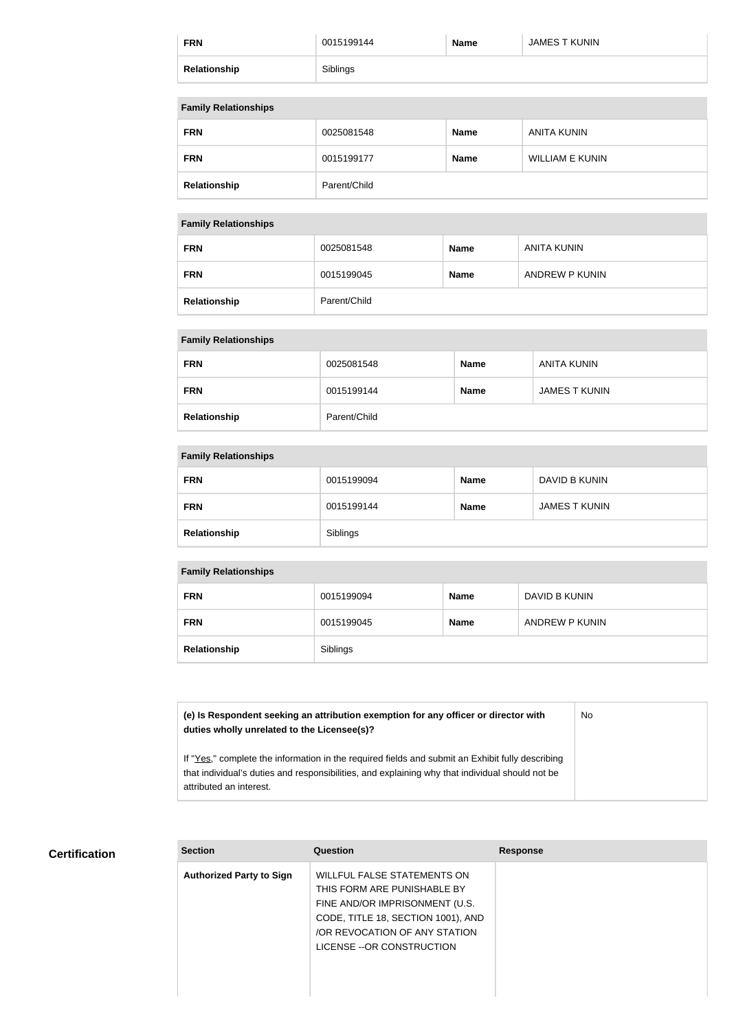| <b>FRN</b>   | 0015199144 | <b>Name</b> | JAMES T KUNIN |
|--------------|------------|-------------|---------------|
| Relationship | Siblings   |             |               |

#### **Family Relationships**

| <b>FRN</b>   | 0025081548   | <b>Name</b> | ANITA KUNIN            |
|--------------|--------------|-------------|------------------------|
| <b>FRN</b>   | 0015199177   | <b>Name</b> | <b>WILLIAM E KUNIN</b> |
| Relationship | Parent/Child |             |                        |

#### **Family Relationships**

| $\sim$       |              |             |                |
|--------------|--------------|-------------|----------------|
| <b>FRN</b>   | 0025081548   | <b>Name</b> | ANITA KUNIN    |
| <b>FRN</b>   | 0015199045   | <b>Name</b> | ANDREW P KUNIN |
| Relationship | Parent/Child |             |                |

#### **Family Relationships**

| <b>FRN</b>   | 0025081548   | <b>Name</b> | <b>ANITA KUNIN</b>   |
|--------------|--------------|-------------|----------------------|
| <b>FRN</b>   | 0015199144   | <b>Name</b> | <b>JAMES T KUNIN</b> |
| Relationship | Parent/Child |             |                      |

#### **Family Relationships**

| <b>FRN</b>   | 0015199094 | <b>Name</b> | DAVID B KUNIN |
|--------------|------------|-------------|---------------|
| <b>FRN</b>   | 0015199144 | <b>Name</b> | JAMES T KUNIN |
| Relationship | Siblings   |             |               |

#### **Family Relationships**

| <b>FRN</b>   | 0015199094 | <b>Name</b> | DAVID B KUNIN  |
|--------------|------------|-------------|----------------|
| <b>FRN</b>   | 0015199045 | <b>Name</b> | ANDREW P KUNIN |
| Relationship | Siblings   |             |                |

# **(e) Is Respondent seeking an attribution exemption for any officer or director with duties wholly unrelated to the Licensee(s)?** If "Yes," complete the information in the required fields and submit an Exhibit fully describing that individual's duties and responsibilities, and explaining why that individual should not be attributed an interest. No

#### **Certification**

| <b>Section</b>                  | Question                                                                                                                                                                                          | <b>Response</b> |
|---------------------------------|---------------------------------------------------------------------------------------------------------------------------------------------------------------------------------------------------|-----------------|
| <b>Authorized Party to Sign</b> | WILLFUL FALSE STATEMENTS ON<br>THIS FORM ARE PUNISHABLE BY<br>FINE AND/OR IMPRISONMENT (U.S.<br>CODE, TITLE 18, SECTION 1001), AND<br>/OR REVOCATION OF ANY STATION<br>LICENSE -- OR CONSTRUCTION |                 |